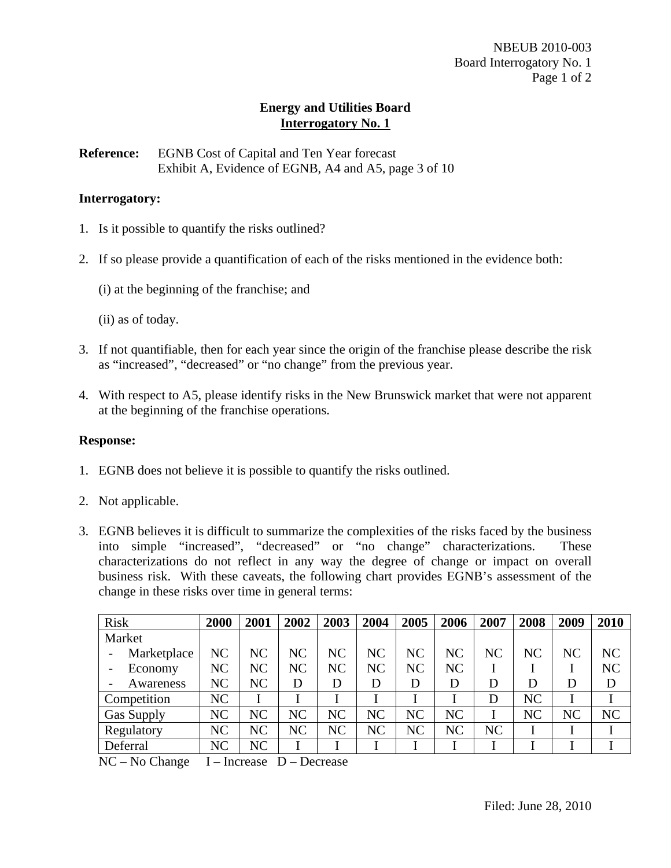**Reference:** EGNB Cost of Capital and Ten Year forecast Exhibit A, Evidence of EGNB, A4 and A5, page 3 of 10

### **Interrogatory:**

- 1. Is it possible to quantify the risks outlined?
- 2. If so please provide a quantification of each of the risks mentioned in the evidence both:
	- (i) at the beginning of the franchise; and

(ii) as of today.

- 3. If not quantifiable, then for each year since the origin of the franchise please describe the risk as "increased", "decreased" or "no change" from the previous year.
- 4. With respect to A5, please identify risks in the New Brunswick market that were not apparent at the beginning of the franchise operations.

### **Response:**

- 1. EGNB does not believe it is possible to quantify the risks outlined.
- 2. Not applicable.
- 3. EGNB believes it is difficult to summarize the complexities of the risks faced by the business into simple "increased", "decreased" or "no change" characterizations. These characterizations do not reflect in any way the degree of change or impact on overall business risk. With these caveats, the following chart provides EGNB's assessment of the change in these risks over time in general terms:

| <b>Risk</b>       | 2000           | 2001 | 2002           | 2003 | 2004      | 2005           | 2006           | 2007 | 2008           | 2009           | 2010           |
|-------------------|----------------|------|----------------|------|-----------|----------------|----------------|------|----------------|----------------|----------------|
| Market            |                |      |                |      |           |                |                |      |                |                |                |
| Marketplace       | NC             | NC   | NC             | NC   | NC        | N <sub>C</sub> | N <sub>C</sub> | NC   | NC             | N <sub>C</sub> | N <sub>C</sub> |
| Economy           | NC             | NC   | N <sub>C</sub> | NC   | <b>NC</b> | N <sub>C</sub> | NC             |      |                |                | <b>NC</b>      |
| Awareness         | NC             | NC   | D              | D    | D         | D              | D              | D    | D              | D              | D              |
| Competition       | N <sub>C</sub> |      |                |      |           |                |                | D    | N <sub>C</sub> |                |                |
| <b>Gas Supply</b> | NC             | NC   | NC             | NC   | NC        | NC             | NC             |      | <b>NC</b>      | NC             | NC             |
| Regulatory        | NC             | NC   | NC             | NC   | NC        | NC             | NC             | NC   |                |                |                |
| Deferral          | NC             | NC   |                |      |           |                |                |      |                |                |                |

NC – No Change I – Increase D – Decrease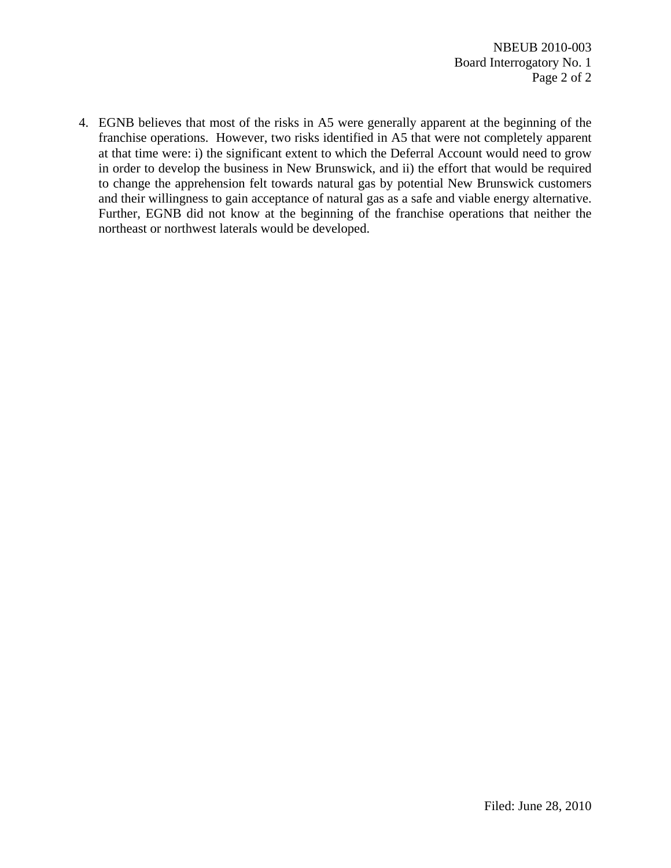4. EGNB believes that most of the risks in A5 were generally apparent at the beginning of the franchise operations. However, two risks identified in A5 that were not completely apparent at that time were: i) the significant extent to which the Deferral Account would need to grow in order to develop the business in New Brunswick, and ii) the effort that would be required to change the apprehension felt towards natural gas by potential New Brunswick customers and their willingness to gain acceptance of natural gas as a safe and viable energy alternative. Further, EGNB did not know at the beginning of the franchise operations that neither the northeast or northwest laterals would be developed.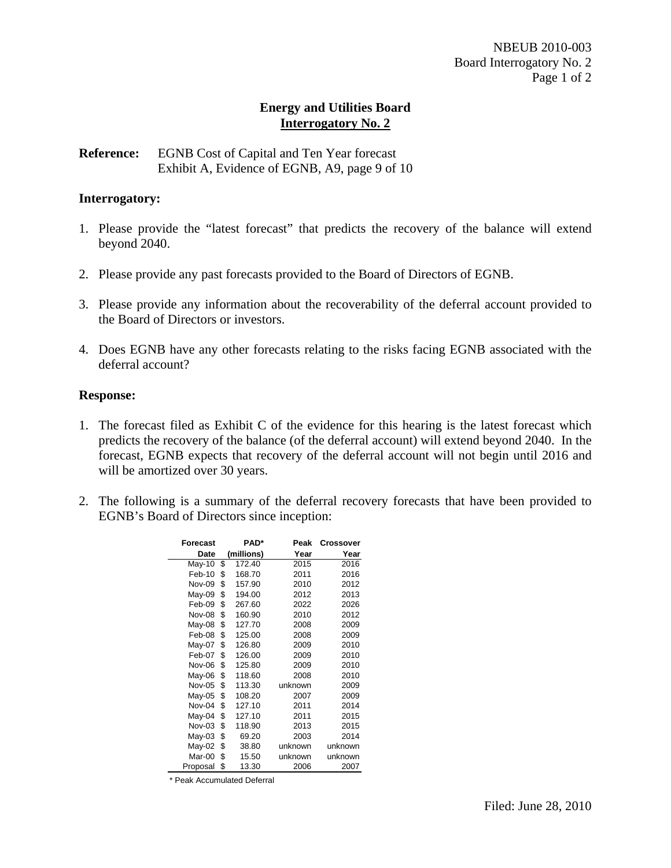**Reference:** EGNB Cost of Capital and Ten Year forecast Exhibit A, Evidence of EGNB, A9, page 9 of 10

### **Interrogatory:**

- 1. Please provide the "latest forecast" that predicts the recovery of the balance will extend beyond 2040.
- 2. Please provide any past forecasts provided to the Board of Directors of EGNB.
- 3. Please provide any information about the recoverability of the deferral account provided to the Board of Directors or investors.
- 4. Does EGNB have any other forecasts relating to the risks facing EGNB associated with the deferral account?

#### **Response:**

- 1. The forecast filed as Exhibit C of the evidence for this hearing is the latest forecast which predicts the recovery of the balance (of the deferral account) will extend beyond 2040. In the forecast, EGNB expects that recovery of the deferral account will not begin until 2016 and will be amortized over 30 years.
- 2. The following is a summary of the deferral recovery forecasts that have been provided to EGNB's Board of Directors since inception:

| Forecast      | <b>PAD*</b> |            | Peak    | Crossover |
|---------------|-------------|------------|---------|-----------|
| Date          |             | (millions) | Year    | Year      |
| May-10        | \$          | 172.40     | 2015    | 2016      |
| Feb-10        | \$          | 168.70     | 2011    | 2016      |
| <b>Nov-09</b> | \$          | 157.90     | 2010    | 2012      |
| May-09        | \$          | 194.00     | 2012    | 2013      |
| Feb-09        | \$          | 267.60     | 2022    | 2026      |
| Nov-08        | \$          | 160.90     | 2010    | 2012      |
| May-08        | \$          | 127.70     | 2008    | 2009      |
| Feb-08        | \$          | 125.00     | 2008    | 2009      |
| May-07        | \$          | 126.80     | 2009    | 2010      |
| Feb-07        | \$          | 126.00     | 2009    | 2010      |
| Nov-06        | \$          | 125.80     | 2009    | 2010      |
| May-06        | \$          | 118.60     | 2008    | 2010      |
| <b>Nov-05</b> | \$          | 113.30     | unknown | 2009      |
| May-05        | \$          | 108.20     | 2007    | 2009      |
| Nov-04        | \$          | 127.10     | 2011    | 2014      |
| May-04        | \$          | 127.10     | 2011    | 2015      |
| Nov-03        | \$          | 118.90     | 2013    | 2015      |
| May-03        | \$          | 69.20      | 2003    | 2014      |
| May-02        | \$          | 38.80      | unknown | unknown   |
| Mar-00        | \$          | 15.50      | unknown | unknown   |
| Proposal      | \$          | 13.30      | 2006    | 2007      |

\* Peak Accumulated Deferral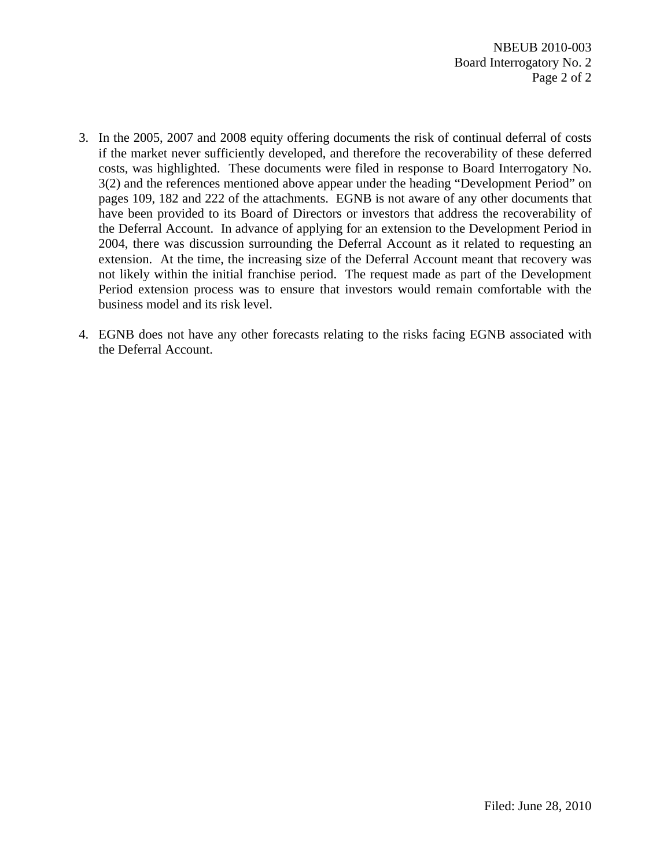- 3. In the 2005, 2007 and 2008 equity offering documents the risk of continual deferral of costs if the market never sufficiently developed, and therefore the recoverability of these deferred costs, was highlighted. These documents were filed in response to Board Interrogatory No. 3(2) and the references mentioned above appear under the heading "Development Period" on pages 109, 182 and 222 of the attachments. EGNB is not aware of any other documents that have been provided to its Board of Directors or investors that address the recoverability of the Deferral Account. In advance of applying for an extension to the Development Period in 2004, there was discussion surrounding the Deferral Account as it related to requesting an extension. At the time, the increasing size of the Deferral Account meant that recovery was not likely within the initial franchise period. The request made as part of the Development Period extension process was to ensure that investors would remain comfortable with the business model and its risk level.
- 4. EGNB does not have any other forecasts relating to the risks facing EGNB associated with the Deferral Account.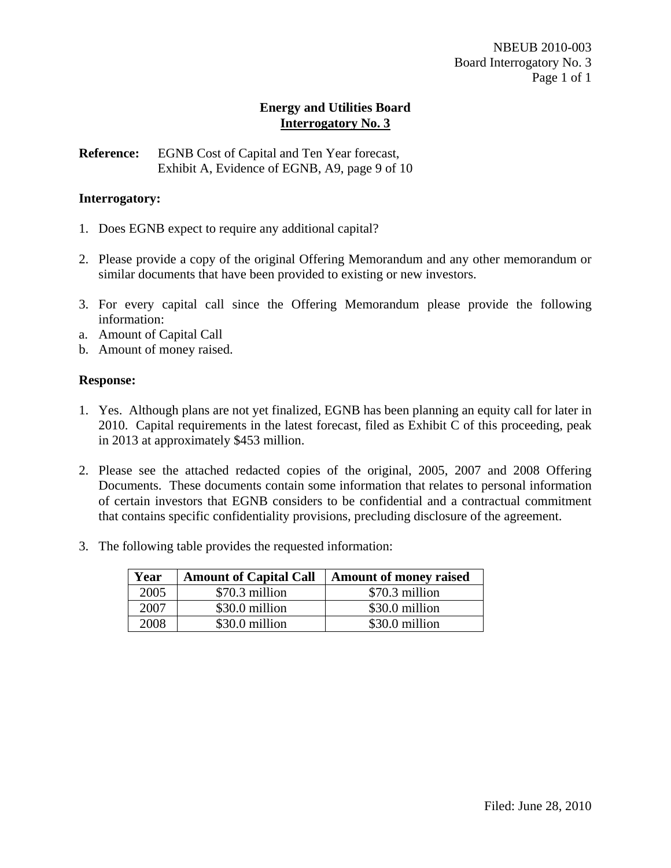**Reference:** EGNB Cost of Capital and Ten Year forecast, Exhibit A, Evidence of EGNB, A9, page 9 of 10

### **Interrogatory:**

- 1. Does EGNB expect to require any additional capital?
- 2. Please provide a copy of the original Offering Memorandum and any other memorandum or similar documents that have been provided to existing or new investors.
- 3. For every capital call since the Offering Memorandum please provide the following information:
- a. Amount of Capital Call
- b. Amount of money raised.

## **Response:**

- 1. Yes. Although plans are not yet finalized, EGNB has been planning an equity call for later in 2010. Capital requirements in the latest forecast, filed as Exhibit C of this proceeding, peak in 2013 at approximately \$453 million.
- 2. Please see the attached redacted copies of the original, 2005, 2007 and 2008 Offering Documents. These documents contain some information that relates to personal information of certain investors that EGNB considers to be confidential and a contractual commitment that contains specific confidentiality provisions, precluding disclosure of the agreement.
- 3. The following table provides the requested information:

| Year | <b>Amount of Capital Call</b> | <b>Amount of money raised</b> |
|------|-------------------------------|-------------------------------|
| 2005 | \$70.3 million                | \$70.3 million                |
| 2007 | \$30.0 million                | \$30.0 million                |
| 2008 | \$30.0 million                | \$30.0 million                |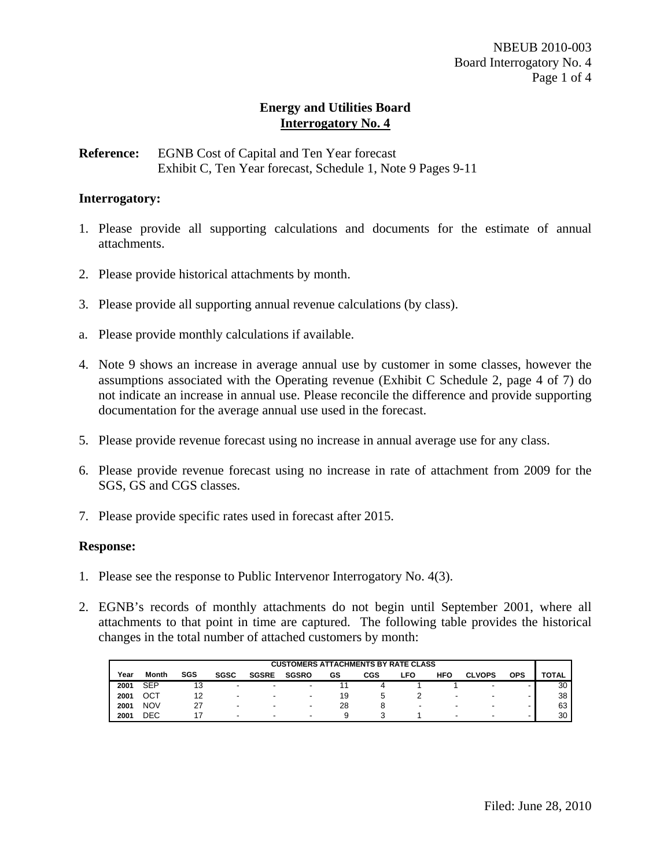**Reference:** EGNB Cost of Capital and Ten Year forecast Exhibit C, Ten Year forecast, Schedule 1, Note 9 Pages 9-11

### **Interrogatory:**

- 1. Please provide all supporting calculations and documents for the estimate of annual attachments.
- 2. Please provide historical attachments by month.
- 3. Please provide all supporting annual revenue calculations (by class).
- a. Please provide monthly calculations if available.
- 4. Note 9 shows an increase in average annual use by customer in some classes, however the assumptions associated with the Operating revenue (Exhibit C Schedule 2, page 4 of 7) do not indicate an increase in annual use. Please reconcile the difference and provide supporting documentation for the average annual use used in the forecast.
- 5. Please provide revenue forecast using no increase in annual average use for any class.
- 6. Please provide revenue forecast using no increase in rate of attachment from 2009 for the SGS, GS and CGS classes.
- 7. Please provide specific rates used in forecast after 2015.

#### **Response:**

- 1. Please see the response to Public Intervenor Interrogatory No. 4(3).
- 2. EGNB's records of monthly attachments do not begin until September 2001, where all attachments to that point in time are captured. The following table provides the historical changes in the total number of attached customers by month:

| <b>CUSTOMERS ATTACHMENTS BY RATE CLASS</b> |            |     |                          |                          |                          |    |     |      |                          |                          |                          |       |
|--------------------------------------------|------------|-----|--------------------------|--------------------------|--------------------------|----|-----|------|--------------------------|--------------------------|--------------------------|-------|
| Year                                       | Month      | SGS | <b>SGSC</b>              | <b>SGSRE</b>             | <b>SGSRO</b>             | GS | CGS | ∟FO  | <b>HFO</b>               | <b>CLVOPS</b>            | <b>OPS</b>               | TOTAL |
| 2001                                       | <b>SEP</b> | 13  | $\,$                     | $\overline{\phantom{0}}$ | $\overline{\phantom{a}}$ |    |     |      |                          |                          | -                        | 30    |
| 2001                                       | ост        |     | $\overline{\phantom{a}}$ | $\overline{\phantom{0}}$ | $\overline{\phantom{0}}$ | 19 |     |      | $\overline{\phantom{a}}$ | $\overline{\phantom{a}}$ | $\overline{\phantom{a}}$ | 38    |
| 2001                                       | <b>NOV</b> |     | $\overline{\phantom{0}}$ | $\overline{\phantom{0}}$ | $\overline{\phantom{0}}$ | 28 |     | $\,$ | $\overline{\phantom{a}}$ | -                        | $\overline{\phantom{a}}$ | 63    |
| 2001                                       | DEC        |     | $\overline{\phantom{a}}$ |                          | $\overline{\phantom{0}}$ |    |     |      | $\overline{\phantom{a}}$ | $\overline{\phantom{0}}$ | $\overline{\phantom{a}}$ | 30    |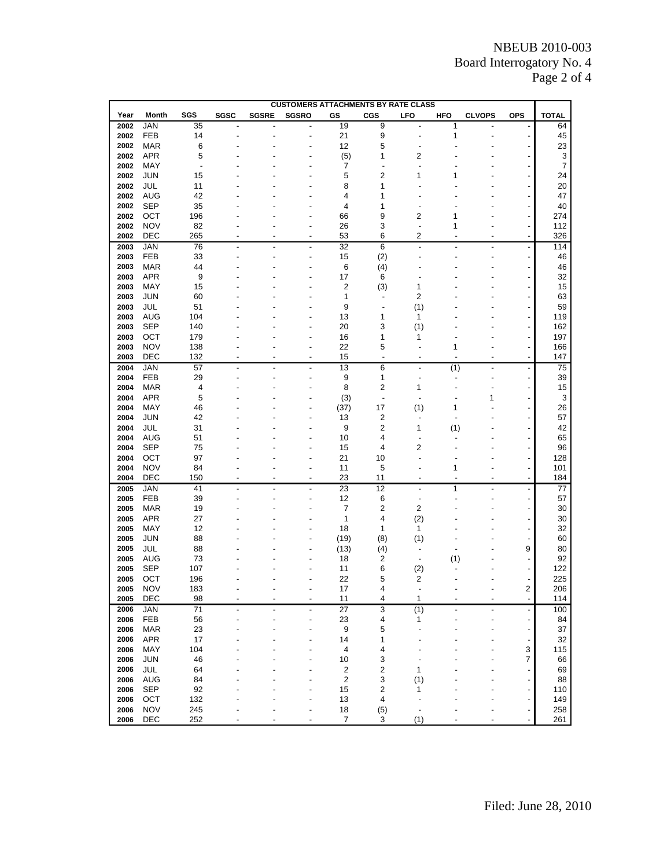# NBEUB 2010-003 Board Interrogatory No. 4 Page 2 of 4

|      | <b>CUSTOMERS ATTACHMENTS BY RATE CLASS</b> |                |      |              |              |                  |                          |            |            |               |                          |                           |
|------|--------------------------------------------|----------------|------|--------------|--------------|------------------|--------------------------|------------|------------|---------------|--------------------------|---------------------------|
| Year | Month                                      | SGS            | SGSC | <b>SGSRE</b> | <b>SGSRO</b> | GS               | <b>CGS</b>               | <b>LFO</b> | <b>HFO</b> | <b>CLVOPS</b> | <b>OPS</b>               | <b>TOTAL</b>              |
| 2002 | <b>JAN</b>                                 | 35             |      |              |              | 19               | 9                        |            | 1          |               |                          | 64                        |
| 2002 | <b>FEB</b>                                 | 14             |      |              |              | 21               | 9                        |            | 1          |               | $\overline{a}$           | 45                        |
| 2002 | <b>MAR</b>                                 | 6              |      |              |              | 12               | 5                        |            |            |               |                          | 23                        |
| 2002 | <b>APR</b>                                 | 5              |      |              |              | (5)              | 1                        | 2          |            |               |                          | $\ensuremath{\mathsf{3}}$ |
| 2002 | MAY                                        | $\overline{a}$ |      |              |              | 7                |                          |            |            |               |                          | $\overline{7}$            |
| 2002 | JUN                                        | 15             |      |              |              | 5                | $\overline{c}$           | 1          |            |               |                          | 24                        |
| 2002 | JUL                                        | 11             |      |              |              | 8                | 1                        |            |            |               |                          | 20                        |
| 2002 | <b>AUG</b>                                 | 42             |      |              |              | 4                | 1                        |            |            |               |                          | 47                        |
| 2002 | SEP                                        | 35             |      |              |              | 4                | 1                        |            |            |               |                          | 40                        |
| 2002 | OCT                                        | 196            |      |              |              | 66               | 9                        | 2          | 1          |               |                          | 274                       |
| 2002 | <b>NOV</b>                                 | 82             |      |              |              | 26               | 3                        |            | 1          |               |                          | 112                       |
| 2002 | DEC                                        | 265            |      |              |              | 53               | 6                        | 2          |            |               |                          | 326                       |
| 2003 | JAN                                        | 76             |      |              |              | 32               | 6                        |            |            |               |                          | 114                       |
| 2003 | <b>FEB</b>                                 | 33             |      |              |              | 15               | (2)                      |            |            |               | $\overline{\phantom{0}}$ | 46                        |
| 2003 | <b>MAR</b>                                 | 44             |      |              |              | 6                | (4)                      |            |            |               | $\overline{a}$           | 46                        |
| 2003 | <b>APR</b>                                 | 9              |      |              |              | 17               | 6                        |            |            |               |                          | 32                        |
| 2003 | MAY                                        | 15             |      |              |              | 2                | (3)                      | 1          |            |               |                          | 15                        |
| 2003 | JUN                                        | 60             |      |              |              | 1                | ٠                        | 2          |            |               |                          | 63                        |
| 2003 | JUL                                        | 51             |      |              |              | 9                | $\overline{\phantom{a}}$ | (1)        |            |               |                          | 59                        |
| 2003 | <b>AUG</b>                                 | 104            |      |              |              | 13               | 1                        | 1          |            |               |                          | 119                       |
| 2003 | SEP                                        | 140            |      |              |              | 20               | 3                        | (1)        |            |               |                          | 162                       |
| 2003 | ОСТ                                        | 179            |      |              |              | 16               | 1                        | 1          |            |               |                          | 197                       |
| 2003 | <b>NOV</b>                                 | 138            |      |              |              | 22               | 5                        |            | 1          |               |                          | 166                       |
| 2003 | DEC                                        | 132            |      |              |              | 15               | ÷,                       |            |            |               | $\overline{a}$           | 147                       |
| 2004 | JAN                                        | 57             |      |              |              | 13               | 6                        |            | (1)        |               | $\overline{a}$           | 75                        |
| 2004 | FEB                                        | 29             |      |              |              | 9                | 1                        |            |            |               | $\overline{a}$           | 39                        |
| 2004 | <b>MAR</b>                                 | 4              |      |              |              | 8                | $\overline{2}$           | 1          |            |               |                          | 15                        |
| 2004 | APR                                        | 5              |      |              |              | (3)              | Ĭ.                       |            |            | 1             |                          | $\mathbf{3}$              |
| 2004 | MAY                                        | 46             |      |              |              | (37)             | 17                       | (1)        | 1          |               |                          | 26                        |
| 2004 | JUN                                        | 42             |      |              |              | 13               | $\overline{\mathbf{c}}$  |            |            |               |                          | 57                        |
| 2004 | JUL                                        | 31             |      |              |              | 9                | $\overline{c}$           | 1          | (1)        |               |                          | 42                        |
| 2004 | <b>AUG</b>                                 | 51             |      |              |              | 10               | 4                        |            |            |               |                          | 65                        |
| 2004 | SEP                                        | 75             |      |              |              | 15               | 4                        | 2          |            |               |                          | 96                        |
| 2004 | ОСТ                                        | 97             |      |              |              | 21               | 10                       |            |            |               | $\overline{a}$           | 128                       |
| 2004 | <b>NOV</b>                                 | 84             |      |              |              | 11               | 5                        |            | 1          |               | $\overline{a}$           | 101                       |
| 2004 | DEC                                        | 150            | ٠    |              |              | 23               | 11                       | -          |            |               | $\overline{\phantom{a}}$ | 184                       |
| 2005 | JAN                                        | 41             |      |              |              | 23               | 12                       |            | 1          |               | $\overline{a}$           | 77                        |
| 2005 | FEB                                        | 39             |      |              |              | 12               | 6                        | -          |            |               |                          | 57                        |
| 2005 | <b>MAR</b>                                 | 19             |      |              |              | 7                | $\overline{\mathbf{c}}$  | 2          |            |               |                          | 30                        |
| 2005 | <b>APR</b>                                 | 27             |      |              |              | 1                | 4                        | (2)        |            |               |                          | 30                        |
| 2005 | MAY                                        | 12             |      |              |              | 18               | 1                        | 1          |            |               |                          | 32                        |
| 2005 | JUN                                        | 88             |      |              |              | (19)             | (8)                      | (1)        |            |               |                          | 60                        |
| 2005 | JUL                                        | 88             |      |              |              | (13)             | (4)                      |            |            |               | 9                        | 80                        |
| 2005 | AUG                                        | 73             |      |              |              | 18               | 2                        | ٠          | (1)        |               |                          | 92                        |
| 2005 | SEP                                        | 107            |      |              |              | 11               | 6                        | (2)        |            |               |                          | 122                       |
| 2005 | ОСТ                                        | 196            |      |              |              | 22               | 5                        | 2          |            |               |                          | 225                       |
| 2005 | <b>NOV</b>                                 | 183            |      |              |              | 17               | 4                        |            |            |               | $\overline{c}$           | 206                       |
| 2005 | DEC                                        | 98             |      |              | ٠            | 11               | 4                        | 1          |            |               |                          | 114                       |
| 2006 | <b>JAN</b>                                 | 71             |      |              |              | 27               | 3                        | (1)        |            |               | $\overline{a}$           | 100                       |
| 2006 | FEB                                        | 56             |      |              |              | 23               | 4                        | 1          |            |               | $\overline{\phantom{a}}$ | 84                        |
| 2006 | <b>MAR</b>                                 | 23             |      |              |              | $\boldsymbol{9}$ | 5                        |            |            |               |                          | 37                        |
| 2006 | <b>APR</b>                                 | 17             |      |              |              | 14               | 1                        |            |            |               | $\overline{a}$           | 32                        |
| 2006 | MAY                                        | 104            |      |              |              | 4                | 4                        |            |            |               | 3                        | 115                       |
| 2006 | <b>JUN</b>                                 | 46             |      |              |              | 10               | 3                        |            |            |               | 7                        | 66                        |
| 2006 | JUL                                        | 64             |      |              |              | $\boldsymbol{2}$ | $\overline{\mathbf{c}}$  | 1          |            |               |                          | 69                        |
| 2006 | <b>AUG</b>                                 | 84             |      |              |              | $\sqrt{2}$       | 3                        | (1)        |            |               |                          | 88                        |
| 2006 | <b>SEP</b>                                 | 92             |      |              |              | 15               | $\overline{\mathbf{c}}$  | 1          |            |               | ÷<br>$\overline{a}$      | 110                       |
| 2006 | OCT                                        | 132            |      |              |              | 13               | 4                        |            |            |               |                          | 149                       |
| 2006 | <b>NOV</b>                                 | 245            |      |              |              | 18               | (5)                      | -          |            |               | ٠                        | 258                       |
| 2006 | DEC                                        | 252            |      |              |              | $\overline{7}$   | 3                        | (1)        |            |               |                          | 261                       |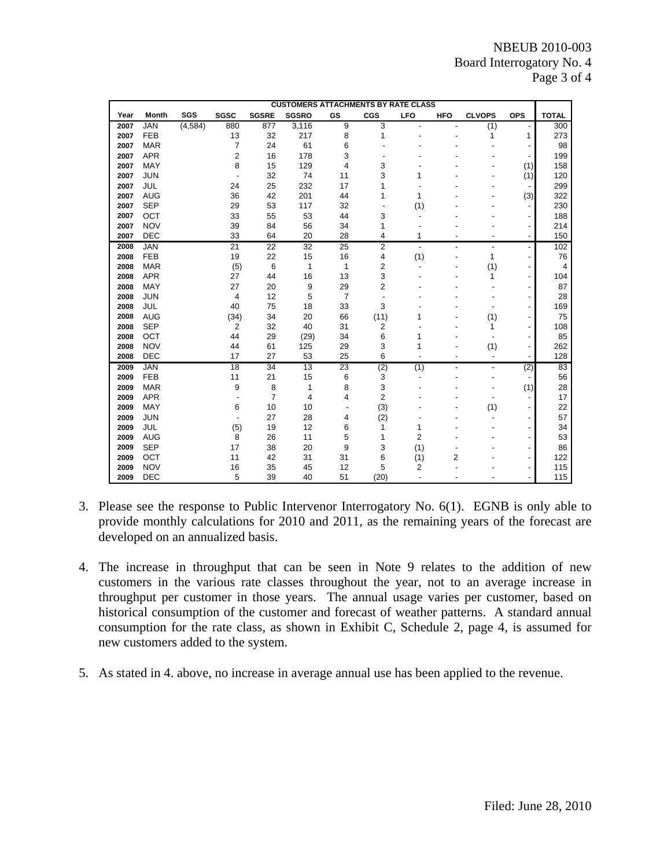|      | <b>CUSTOMERS ATTACHMENTS BY RATE CLASS</b> |          |                 |                 |              |                 |                |                |                |                          |                          |                |
|------|--------------------------------------------|----------|-----------------|-----------------|--------------|-----------------|----------------|----------------|----------------|--------------------------|--------------------------|----------------|
| Year | Month                                      | SGS      | <b>SGSC</b>     | <b>SGSRE</b>    | <b>SGSRO</b> | GS              | CGS            | <b>LFO</b>     | <b>HFO</b>     | <b>CLVOPS</b>            | OPS                      | <b>TOTAL</b>   |
| 2007 | <b>JAN</b>                                 | (4, 584) | 880             | 877             | 3,116        | 9               | 3              |                |                | (1)                      |                          | 300            |
| 2007 | <b>FEB</b>                                 |          | 13              | 32              | 217          | 8               | 1              |                |                | 1                        | 1                        | 273            |
| 2007 | <b>MAR</b>                                 |          | $\overline{7}$  | 24              | 61           | 6               |                |                |                |                          |                          | 98             |
| 2007 | <b>APR</b>                                 |          | $\overline{2}$  | 16              | 178          | 3               |                |                |                |                          |                          | 199            |
| 2007 | <b>MAY</b>                                 |          | 8               | 15              | 129          | 4               | 3              |                |                |                          | (1)                      | 158            |
| 2007 | <b>JUN</b>                                 |          |                 | 32              | 74           | 11              | 3              | 1              |                |                          | (1)                      | 120            |
| 2007 | JUL                                        |          | 24              | 25              | 232          | 17              | 1              |                |                |                          |                          | 299            |
| 2007 | <b>AUG</b>                                 |          | 36              | 42              | 201          | 44              | 1              | 1              |                |                          | (3)                      | 322            |
| 2007 | <b>SEP</b>                                 |          | 29              | 53              | 117          | 32              |                | (1)            |                |                          |                          | 230            |
| 2007 | OCT                                        |          | 33              | 55              | 53           | 44              | 3              |                |                |                          |                          | 188            |
| 2007 | <b>NOV</b>                                 |          | 39              | 84              | 56           | 34              | 1              |                |                |                          |                          | 214            |
| 2007 | <b>DEC</b>                                 |          | 33              | 64              | 20           | 28              | 4              | 1              |                | $\overline{\phantom{0}}$ | $\overline{\phantom{a}}$ | 150            |
| 2008 | <b>JAN</b>                                 |          | $\overline{21}$ | 22              | 32           | $\overline{25}$ | $\overline{2}$ | $\overline{a}$ | $\overline{a}$ | $\overline{\phantom{a}}$ | $\overline{a}$           | 102            |
| 2008 | <b>FEB</b>                                 |          | 19              | 22              | 15           | 16              | 4              | (1)            |                | 1                        |                          | 76             |
| 2008 | <b>MAR</b>                                 |          | (5)             | 6               | $\mathbf{1}$ | 1               | 2              |                |                | (1)                      |                          | $\overline{4}$ |
| 2008 | <b>APR</b>                                 |          | 27              | 44              | 16           | 13              | 3              |                |                | 1                        |                          | 104            |
| 2008 | <b>MAY</b>                                 |          | 27              | 20              | 9            | 29              | $\overline{2}$ |                |                |                          |                          | 87             |
| 2008 | <b>JUN</b>                                 |          | 4               | 12              | 5            | $\overline{7}$  |                |                |                |                          |                          | 28             |
| 2008 | <b>JUL</b>                                 |          | 40              | 75              | 18           | 33              | 3              |                |                |                          |                          | 169            |
| 2008 | <b>AUG</b>                                 |          | (34)            | 34              | 20           | 66              | (11)           | 1              |                | (1)                      |                          | 75             |
| 2008 | <b>SEP</b>                                 |          | $\overline{2}$  | 32              | 40           | 31              | 2              |                |                | 1                        |                          | 108            |
| 2008 | OCT                                        |          | 44              | 29              | (29)         | 34              | 6              | 1              |                |                          |                          | 85             |
| 2008 | <b>NOV</b>                                 |          | 44              | 61              | 125          | 29              | 3              | 1              |                | (1)                      |                          | 262            |
| 2008 | <b>DEC</b>                                 |          | 17              | 27              | 53           | 25              | 6              |                |                | ÷,                       |                          | 128            |
| 2009 | <b>JAN</b>                                 |          | 18              | $\overline{34}$ | 13           | 23              | (2)            | (1)            |                | $\overline{\phantom{0}}$ | (2)                      | 83             |
| 2009 | <b>FEB</b>                                 |          | 11              | 21              | 15           | 6               | 3              |                |                |                          |                          | 56             |
| 2009 | <b>MAR</b>                                 |          | 9               | 8               | 1            | 8               | 3              |                |                |                          | (1)                      | 28             |
| 2009 | <b>APR</b>                                 |          |                 | $\overline{7}$  | 4            | 4               | $\overline{2}$ |                |                |                          |                          | 17             |
| 2009 | <b>MAY</b>                                 |          | 6               | 10              | 10           |                 | (3)            |                |                | (1)                      |                          | 22             |
| 2009 | <b>JUN</b>                                 |          |                 | 27              | 28           | 4               | (2)            |                |                |                          |                          | 57             |
| 2009 | JUL                                        |          | (5)             | 19              | 12           | 6               | 1              | 1              |                |                          |                          | 34             |
| 2009 | <b>AUG</b>                                 |          | 8               | 26              | 11           | 5               | $\mathbf{1}$   | 2              |                |                          |                          | 53             |
| 2009 | <b>SEP</b>                                 |          | 17              | 38              | 20           | 9               | 3              | (1)            |                |                          |                          | 86             |
| 2009 | OCT                                        |          | 11              | 42              | 31           | 31              | 6              | (1)            | $\overline{2}$ |                          |                          | 122            |
| 2009 | <b>NOV</b>                                 |          | 16              | 35              | 45           | 12              | 5              | 2              |                |                          |                          | 115            |
| 2009 | <b>DEC</b>                                 |          | 5               | 39              | 40           | 51              | (20)           |                |                |                          |                          | 115            |

- 3. Please see the response to Public Intervenor Interrogatory No. 6(1). EGNB is only able to provide monthly calculations for 2010 and 2011, as the remaining years of the forecast are developed on an annualized basis.
- 4. The increase in throughput that can be seen in Note 9 relates to the addition of new customers in the various rate classes throughout the year, not to an average increase in throughput per customer in those years. The annual usage varies per customer, based on historical consumption of the customer and forecast of weather patterns. A standard annual consumption for the rate class, as shown in Exhibit C, Schedule 2, page 4, is assumed for new customers added to the system.
- 5. As stated in 4. above, no increase in average annual use has been applied to the revenue.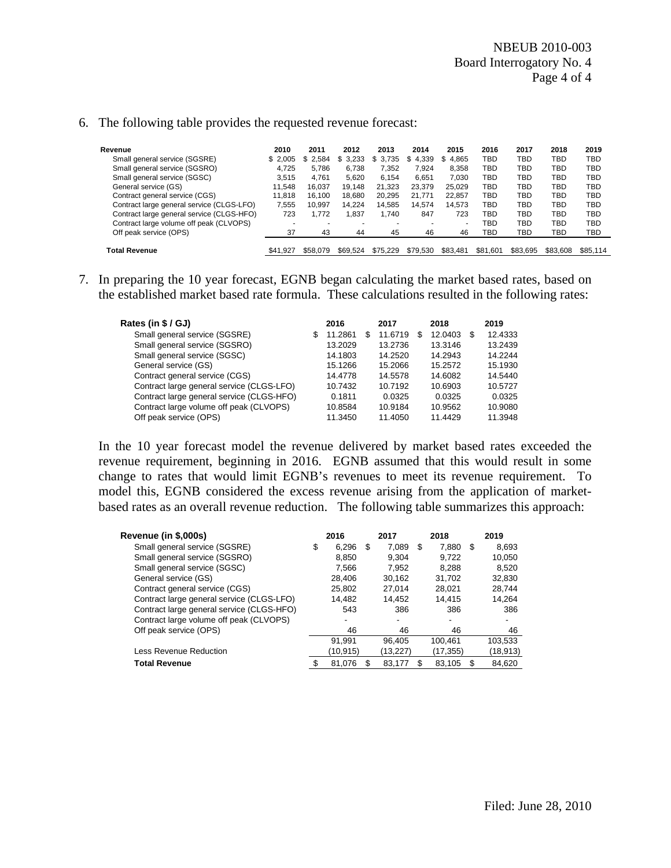| Revenue                                   | 2010     | 2011     | 2012        | 2013     | 2014        | 2015                     | 2016     | 2017     | 2018     | 2019     |
|-------------------------------------------|----------|----------|-------------|----------|-------------|--------------------------|----------|----------|----------|----------|
| Small general service (SGSRE)             | \$2.005  | \$2.584  | 3,233<br>S. | \$3,735  | 4.339<br>\$ | \$4.865                  | TBD      | TBD      | TBD      | TBD      |
| Small general service (SGSRO)             | 4.725    | 5.786    | 6.738       | 7.352    | 7.924       | 8.358                    | TBD      | TBD      | TBD      | TBD      |
| Small general service (SGSC)              | 3.515    | 4.761    | 5.620       | 6.154    | 6.651       | 7.030                    | TBD      | TBD      | TBD      | TBD      |
| General service (GS)                      | 11.548   | 16.037   | 19.148      | 21.323   | 23.379      | 25.029                   | TBD      | TBD      | TBD      | TBD      |
| Contract general service (CGS)            | 11.818   | 16.100   | 18.680      | 20.295   | 21.771      | 22.857                   | TBD      | TBD      | TBD      | TBD      |
| Contract large general service (CLGS-LFO) | 7.555    | 10,997   | 14,224      | 14,585   | 14,574      | 14.573                   | TBD      | TBD      | TBD      | TBD      |
| Contract large general service (CLGS-HFO) | 723      | 1.772    | 1.837       | 1.740    | 847         | 723                      | TBD      | TBD      | TBD      | TBD      |
| Contract large volume off peak (CLVOPS)   |          |          |             |          | ۰           | $\overline{\phantom{a}}$ | TBD      | TBD      | TBD      | TBD      |
| Off peak service (OPS)                    | 37       | 43       | 44          | 45       | 46          | 46                       | TBD      | TBD      | TBD      | TBD      |
|                                           |          |          |             |          |             |                          |          |          |          |          |
| Total Revenue                             | \$41.927 | \$58,079 | \$69.524    | \$75.229 | \$79.530    | \$83.481                 | \$81.601 | \$83.695 | \$83,608 | \$85.114 |

#### 6. The following table provides the requested revenue forecast:

7. In preparing the 10 year forecast, EGNB began calculating the market based rates, based on the established market based rate formula. These calculations resulted in the following rates:

| Rates (in \$ / GJ)                        |   | 2016    |    | 2017    |   | 2018    |   | 2019    |
|-------------------------------------------|---|---------|----|---------|---|---------|---|---------|
| Small general service (SGSRE)             | S | 11.2861 | S. | 11.6719 | S | 12.0403 | S | 12.4333 |
| Small general service (SGSRO)             |   | 13.2029 |    | 13.2736 |   | 13.3146 |   | 13.2439 |
| Small general service (SGSC)              |   | 14.1803 |    | 14.2520 |   | 14.2943 |   | 14.2244 |
| General service (GS)                      |   | 15.1266 |    | 15.2066 |   | 15.2572 |   | 15.1930 |
| Contract general service (CGS)            |   | 14.4778 |    | 14.5578 |   | 14.6082 |   | 14.5440 |
| Contract large general service (CLGS-LFO) |   | 10.7432 |    | 10.7192 |   | 10.6903 |   | 10.5727 |
| Contract large general service (CLGS-HFO) |   | 0.1811  |    | 0.0325  |   | 0.0325  |   | 0.0325  |
| Contract large volume off peak (CLVOPS)   |   | 10.8584 |    | 10.9184 |   | 10.9562 |   | 10.9080 |
| Off peak service (OPS)                    |   | 11.3450 |    | 11.4050 |   | 11.4429 |   | 11.3948 |

In the 10 year forecast model the revenue delivered by market based rates exceeded the revenue requirement, beginning in 2016. EGNB assumed that this would result in some change to rates that would limit EGNB's revenues to meet its revenue requirement. To model this, EGNB considered the excess revenue arising from the application of marketbased rates as an overall revenue reduction. The following table summarizes this approach:

| Revenue (in \$,000s)                      | 2016         |     | 2017      |    | 2018     |     | 2019     |
|-------------------------------------------|--------------|-----|-----------|----|----------|-----|----------|
| Small general service (SGSRE)             | \$<br>6.296  | -\$ | 7.089     | \$ | 7.880    | -S  | 8,693    |
| Small general service (SGSRO)             | 8,850        |     | 9.304     |    | 9.722    |     | 10,050   |
| Small general service (SGSC)              | 7.566        |     | 7.952     |    | 8.288    |     | 8.520    |
| General service (GS)                      | 28.406       |     | 30.162    |    | 31.702   |     | 32,830   |
| Contract general service (CGS)            | 25.802       |     | 27.014    |    | 28.021   |     | 28.744   |
| Contract large general service (CLGS-LFO) | 14.482       |     | 14.452    |    | 14.415   |     | 14,264   |
| Contract large general service (CLGS-HFO) | 543          |     | 386       |    | 386      |     | 386      |
| Contract large volume off peak (CLVOPS)   |              |     |           |    | ٠        |     |          |
| Off peak service (OPS)                    | 46           |     | 46        |    | 46       |     | 46       |
|                                           | 91.991       |     | 96.405    |    | 100.461  |     | 103,533  |
| Less Revenue Reduction                    | (10,915)     |     | (13, 227) |    | (17,355) |     | (18,913) |
| <b>Total Revenue</b>                      | \$<br>81.076 | S   | 83.177    | S  | 83,105   | \$. | 84.620   |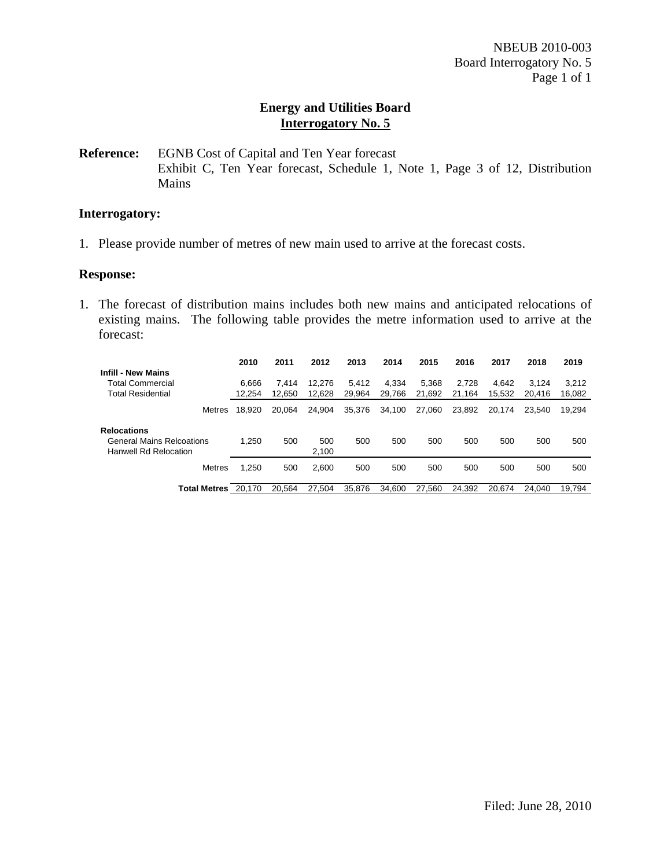**Reference:** EGNB Cost of Capital and Ten Year forecast Exhibit C, Ten Year forecast, Schedule 1, Note 1, Page 3 of 12, Distribution Mains

### **Interrogatory:**

1. Please provide number of metres of new main used to arrive at the forecast costs.

#### **Response:**

1. The forecast of distribution mains includes both new mains and anticipated relocations of existing mains. The following table provides the metre information used to arrive at the forecast:

|                                                                                        | 2010   | 2011   | 2012         | 2013   | 2014   | 2015   | 2016   | 2017   | 2018   | 2019   |
|----------------------------------------------------------------------------------------|--------|--------|--------------|--------|--------|--------|--------|--------|--------|--------|
| <b>Infill - New Mains</b>                                                              |        |        |              |        |        |        |        |        |        |        |
| <b>Total Commercial</b>                                                                | 6.666  | 7.414  | 12.276       | 5.412  | 4.334  | 5.368  | 2.728  | 4.642  | 3.124  | 3.212  |
| <b>Total Residential</b>                                                               | 12,254 | 12.650 | 12,628       | 29,964 | 29.766 | 21.692 | 21.164 | 15.532 | 20.416 | 16,082 |
| Metres                                                                                 | 18.920 | 20.064 | 24,904       | 35,376 | 34,100 | 27,060 | 23,892 | 20.174 | 23.540 | 19,294 |
| <b>Relocations</b><br><b>General Mains Relcoations</b><br><b>Hanwell Rd Relocation</b> | 1.250  | 500    | 500<br>2,100 | 500    | 500    | 500    | 500    | 500    | 500    | 500    |
| <b>Metres</b>                                                                          | 1.250  | 500    | 2.600        | 500    | 500    | 500    | 500    | 500    | 500    | 500    |
| <b>Total Metres</b>                                                                    | 20.170 | 20.564 | 27.504       | 35.876 | 34.600 | 27.560 | 24.392 | 20.674 | 24.040 | 19.794 |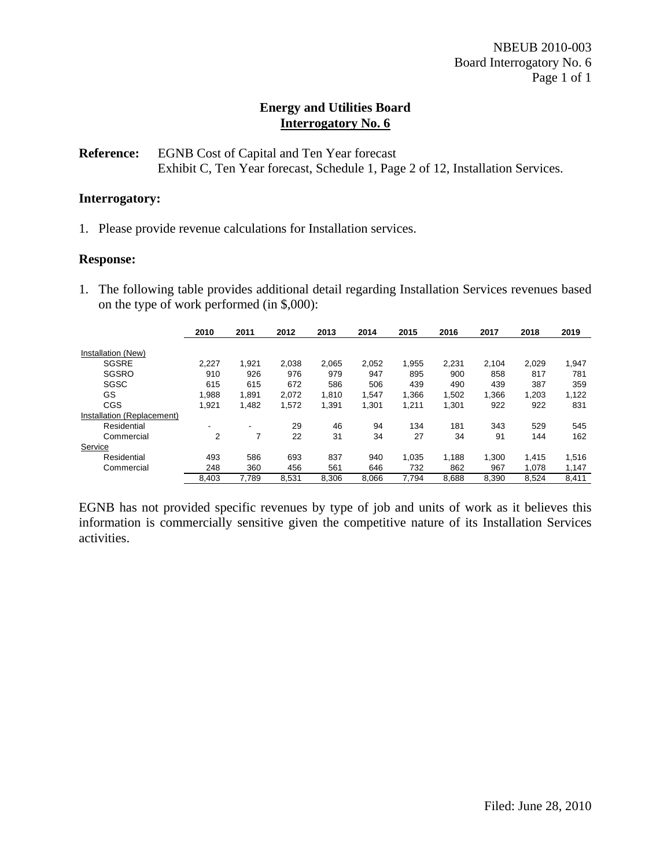## **Reference:** EGNB Cost of Capital and Ten Year forecast Exhibit C, Ten Year forecast, Schedule 1, Page 2 of 12, Installation Services.

## **Interrogatory:**

1. Please provide revenue calculations for Installation services.

#### **Response:**

1. The following table provides additional detail regarding Installation Services revenues based on the type of work performed (in \$,000):

|                            | 2010  | 2011  | 2012  | 2013  | 2014  | 2015   | 2016  | 2017  | 2018  | 2019  |
|----------------------------|-------|-------|-------|-------|-------|--------|-------|-------|-------|-------|
|                            |       |       |       |       |       |        |       |       |       |       |
| Installation (New)         |       |       |       |       |       |        |       |       |       |       |
| <b>SGSRE</b>               | 2,227 | 1,921 | 2,038 | 2.065 | 2,052 | 1.955  | 2.231 | 2.104 | 2.029 | 1,947 |
| SGSRO                      | 910   | 926   | 976   | 979   | 947   | 895    | 900   | 858   | 817   | 781   |
| <b>SGSC</b>                | 615   | 615   | 672   | 586   | 506   | 439    | 490   | 439   | 387   | 359   |
| GS                         | 1,988 | 1,891 | 2,072 | 1,810 | 1,547 | 1,366  | 1,502 | 1,366 | 1,203 | 1,122 |
| CGS                        | 1,921 | 1,482 | 1,572 | 1,391 | 1,301 | 211. ا | 1,301 | 922   | 922   | 831   |
| Installation (Replacement) |       |       |       |       |       |        |       |       |       |       |
| Residential                | -     |       | 29    | 46    | 94    | 134    | 181   | 343   | 529   | 545   |
| Commercial                 | 2     |       | 22    | 31    | 34    | 27     | 34    | 91    | 144   | 162   |
| Service                    |       |       |       |       |       |        |       |       |       |       |
| Residential                | 493   | 586   | 693   | 837   | 940   | 1,035  | 1.188 | 1.300 | 1.415 | 1,516 |
| Commercial                 | 248   | 360   | 456   | 561   | 646   | 732    | 862   | 967   | 1.078 | 1.147 |
|                            | 8,403 | 7,789 | 8,531 | 8,306 | 8.066 | 7.794  | 8,688 | 8.390 | 8,524 | 8,411 |

EGNB has not provided specific revenues by type of job and units of work as it believes this information is commercially sensitive given the competitive nature of its Installation Services activities.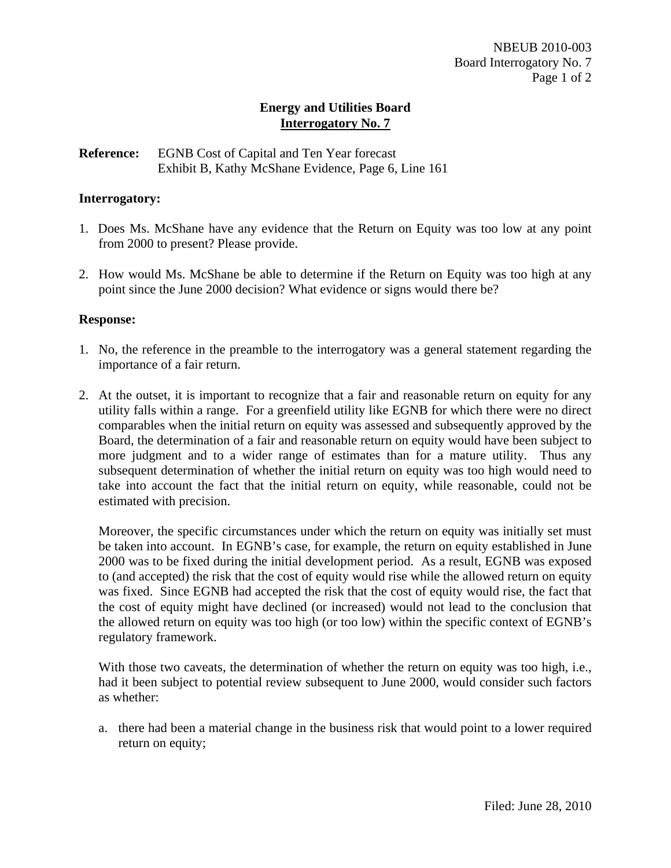## **Reference:** EGNB Cost of Capital and Ten Year forecast Exhibit B, Kathy McShane Evidence, Page 6, Line 161

## **Interrogatory:**

- 1. Does Ms. McShane have any evidence that the Return on Equity was too low at any point from 2000 to present? Please provide.
- 2. How would Ms. McShane be able to determine if the Return on Equity was too high at any point since the June 2000 decision? What evidence or signs would there be?

## **Response:**

- 1. No, the reference in the preamble to the interrogatory was a general statement regarding the importance of a fair return.
- 2. At the outset, it is important to recognize that a fair and reasonable return on equity for any utility falls within a range. For a greenfield utility like EGNB for which there were no direct comparables when the initial return on equity was assessed and subsequently approved by the Board, the determination of a fair and reasonable return on equity would have been subject to more judgment and to a wider range of estimates than for a mature utility. Thus any subsequent determination of whether the initial return on equity was too high would need to take into account the fact that the initial return on equity, while reasonable, could not be estimated with precision.

Moreover, the specific circumstances under which the return on equity was initially set must be taken into account. In EGNB's case, for example, the return on equity established in June 2000 was to be fixed during the initial development period. As a result, EGNB was exposed to (and accepted) the risk that the cost of equity would rise while the allowed return on equity was fixed. Since EGNB had accepted the risk that the cost of equity would rise, the fact that the cost of equity might have declined (or increased) would not lead to the conclusion that the allowed return on equity was too high (or too low) within the specific context of EGNB's regulatory framework.

With those two caveats, the determination of whether the return on equity was too high, i.e., had it been subject to potential review subsequent to June 2000, would consider such factors as whether:

a. there had been a material change in the business risk that would point to a lower required return on equity;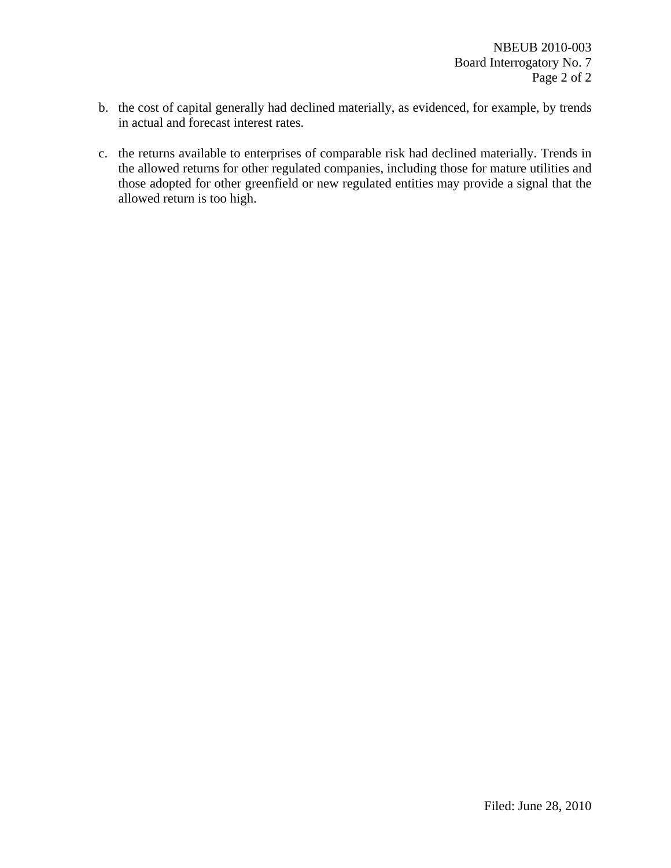- b. the cost of capital generally had declined materially, as evidenced, for example, by trends in actual and forecast interest rates.
- c. the returns available to enterprises of comparable risk had declined materially. Trends in the allowed returns for other regulated companies, including those for mature utilities and those adopted for other greenfield or new regulated entities may provide a signal that the allowed return is too high.